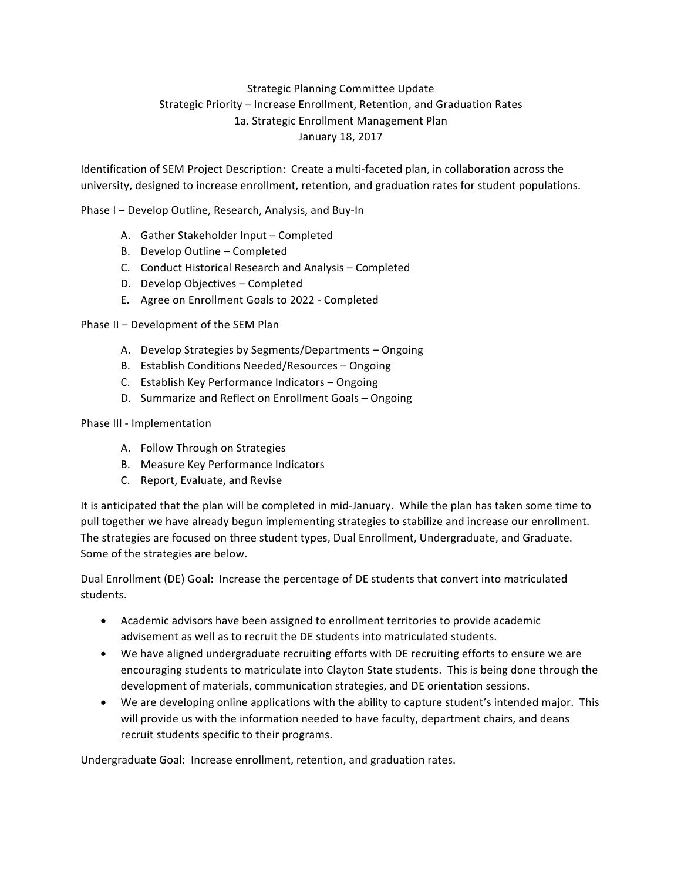## Strategic Planning Committee Update Strategic Priority – Increase Enrollment, Retention, and Graduation Rates 1a. Strategic Enrollment Management Plan January 18, 2017

Identification of SEM Project Description: Create a multi-faceted plan, in collaboration across the university, designed to increase enrollment, retention, and graduation rates for student populations.

Phase I – Develop Outline, Research, Analysis, and Buy-In

- A. Gather Stakeholder Input Completed
- B. Develop Outline Completed
- C. Conduct Historical Research and Analysis Completed
- D. Develop Objectives Completed
- E. Agree on Enrollment Goals to 2022 Completed

Phase II - Development of the SEM Plan

- A. Develop Strategies by Segments/Departments Ongoing
- B. Establish Conditions Needed/Resources Ongoing
- C. Establish Key Performance Indicators Ongoing
- D. Summarize and Reflect on Enrollment Goals Ongoing

## Phase III - Implementation

- A. Follow Through on Strategies
- B. Measure Key Performance Indicators
- C. Report, Evaluate, and Revise

It is anticipated that the plan will be completed in mid-January. While the plan has taken some time to pull together we have already begun implementing strategies to stabilize and increase our enrollment. The strategies are focused on three student types, Dual Enrollment, Undergraduate, and Graduate. Some of the strategies are below.

Dual Enrollment (DE) Goal: Increase the percentage of DE students that convert into matriculated students.

- Academic advisors have been assigned to enrollment territories to provide academic advisement as well as to recruit the DE students into matriculated students.
- We have aligned undergraduate recruiting efforts with DE recruiting efforts to ensure we are encouraging students to matriculate into Clayton State students. This is being done through the development of materials, communication strategies, and DE orientation sessions.
- We are developing online applications with the ability to capture student's intended major. This will provide us with the information needed to have faculty, department chairs, and deans recruit students specific to their programs.

Undergraduate Goal: Increase enrollment, retention, and graduation rates.